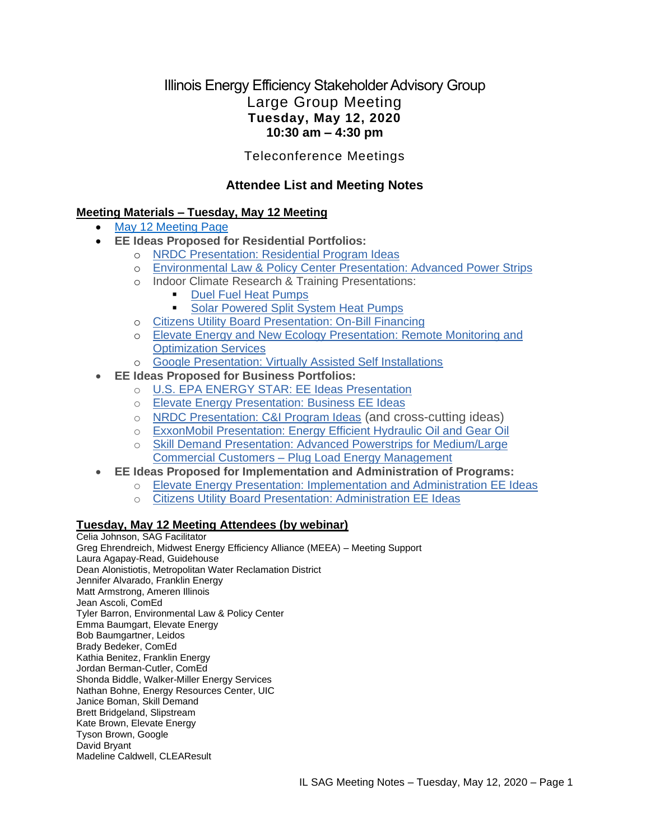# Illinois Energy Efficiency Stakeholder Advisory Group Large Group Meeting **Tuesday, May 12, 2020 10:30 am – 4:30 pm**

Teleconference Meetings

# **Attendee List and Meeting Notes**

### **Meeting Materials – Tuesday, May 12 Meeting**

- [May 12 Meeting Page](https://www.ilsag.info/event/tuesday-may-12-sag-meeting/)
- **EE Ideas Proposed for Residential Portfolios:**
	- o [NRDC Presentation: Residential Program Ideas](https://s3.amazonaws.com/ilsag/Res-Prog-Ideas_NRDC-Presentation_SAG-2020-05-12.pdf)
		- o [Environmental Law & Policy Center Presentation: Advanced Power Strips](https://s3.amazonaws.com/ilsag/ELPC_SAG-APS-Presentation_5-12-2020.pdf)
		- o Indoor Climate Research & Training Presentations:
			- **[Duel Fuel Heat Pumps](https://s3.amazonaws.com/ilsag/ICRT_Final_DualHeatPumps_forILSAG.pdf)**
			- **[Solar Powered Split System Heat Pumps](https://s3.amazonaws.com/ilsag/ICRT_Solar-powered-split-system-heat-pump-SAG-presentation_5-12-2020.pdf)**
		- o [Citizens Utility Board Presentation: On-Bill Financing](https://s3.amazonaws.com/ilsag/CUB_OBF_EE_Idea_Presentation_5-12-2020.pdf)
		- o [Elevate Energy and New Ecology Presentation: Remote Monitoring and](https://s3.amazonaws.com/ilsag/IL-EE-SAG_Elevate-Energy-ReMO-EE-Idea.pdf)  [Optimization Services](https://s3.amazonaws.com/ilsag/IL-EE-SAG_Elevate-Energy-ReMO-EE-Idea.pdf)
		- o [Google Presentation: Virtually Assisted Self Installations](https://s3.amazonaws.com/ilsag/Google-IL-EE-SAG-Presentation-Final-5.12.20.pdf)
- **EE Ideas Proposed for Business Portfolios:**
	- o [U.S. EPA ENERGY STAR: EE Ideas Presentation](https://s3.amazonaws.com/ilsag/ENERGY-STAR-EE-Ideas-for-ILSAG_5-12-20_Final.pdf)
	- o [Elevate Energy Presentation: Business EE Ideas](https://s3.amazonaws.com/ilsag/IL-EE-SAG_Elevate-Energy-Business-EE-Ideas.pdf)
	- o [NRDC Presentation: C&I Program Ideas](https://s3.amazonaws.com/ilsag/CI-Prog-Ideas_NRDC_Presentation_SAG-2020-05-12.pdf) (and cross-cutting ideas)
	- o [ExxonMobil Presentation: Energy Efficient Hydraulic Oil and Gear Oil](https://s3.amazonaws.com/ilsag/SAG-EE-Idea_Mobil-Hydraulic-and-Gear-Oil-Final-1.pdf)
	- o [Skill Demand Presentation: Advanced Powerstrips for Medium/Large](https://s3.amazonaws.com/ilsag/Skill-Demand-SAG-Presentation-05-12-20.pdf)  Commercial Customers – [Plug Load Energy Management](https://s3.amazonaws.com/ilsag/Skill-Demand-SAG-Presentation-05-12-20.pdf)
- **EE Ideas Proposed for Implementation and Administration of Programs:**
	- o [Elevate Energy Presentation: Implementation and Administration EE Ideas](https://s3.amazonaws.com/ilsag/IL-EE-SAG_Elevate-Energy-Implementation-and-Admin-EE-Ideas.pdf)
		- o [Citizens Utility Board Presentation: Administration EE Ideas](https://s3.amazonaws.com/ilsag/CUB_Administration_EE_Idea_Presentation_5-12-2020.pdf)

#### **Tuesday, May 12 Meeting Attendees (by webinar)**

Celia Johnson, SAG Facilitator Greg Ehrendreich, Midwest Energy Efficiency Alliance (MEEA) – Meeting Support Laura Agapay-Read, Guidehouse Dean Alonistiotis, Metropolitan Water Reclamation District Jennifer Alvarado, Franklin Energy Matt Armstrong, Ameren Illinois Jean Ascoli, ComEd Tyler Barron, Environmental Law & Policy Center Emma Baumgart, Elevate Energy Bob Baumgartner, Leidos Brady Bedeker, ComEd Kathia Benitez, Franklin Energy Jordan Berman-Cutler, ComEd Shonda Biddle, Walker-Miller Energy Services Nathan Bohne, Energy Resources Center, UIC Janice Boman, Skill Demand Brett Bridgeland, Slipstream Kate Brown, Elevate Energy Tyson Brown, Google David Bryant Madeline Caldwell, CLEAResult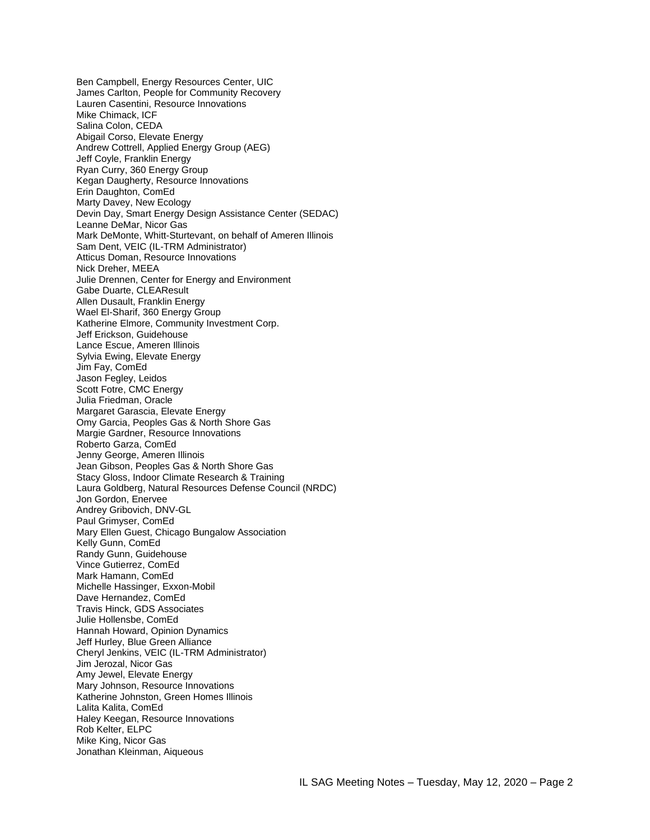Ben Campbell, Energy Resources Center, UIC James Carlton, People for Community Recovery Lauren Casentini, Resource Innovations Mike Chimack, ICF Salina Colon, CEDA Abigail Corso, Elevate Energy Andrew Cottrell, Applied Energy Group (AEG) Jeff Coyle, Franklin Energy Ryan Curry, 360 Energy Group Kegan Daugherty, Resource Innovations Erin Daughton, ComEd Marty Davey, New Ecology Devin Day, Smart Energy Design Assistance Center (SEDAC) Leanne DeMar, Nicor Gas Mark DeMonte, Whitt-Sturtevant, on behalf of Ameren Illinois Sam Dent, VEIC (IL-TRM Administrator) Atticus Doman, Resource Innovations Nick Dreher, MEEA Julie Drennen, Center for Energy and Environment Gabe Duarte, CLEAResult Allen Dusault, Franklin Energy Wael El-Sharif, 360 Energy Group Katherine Elmore, Community Investment Corp. Jeff Erickson, Guidehouse Lance Escue, Ameren Illinois Sylvia Ewing, Elevate Energy Jim Fay, ComEd Jason Fegley, Leidos Scott Fotre, CMC Energy Julia Friedman, Oracle Margaret Garascia, Elevate Energy Omy Garcia, Peoples Gas & North Shore Gas Margie Gardner, Resource Innovations Roberto Garza, ComEd Jenny George, Ameren Illinois Jean Gibson, Peoples Gas & North Shore Gas Stacy Gloss, Indoor Climate Research & Training Laura Goldberg, Natural Resources Defense Council (NRDC) Jon Gordon, Enervee Andrey Gribovich, DNV-GL Paul Grimyser, ComEd Mary Ellen Guest, Chicago Bungalow Association Kelly Gunn, ComEd Randy Gunn, Guidehouse Vince Gutierrez, ComEd Mark Hamann, ComEd Michelle Hassinger, Exxon-Mobil Dave Hernandez, ComEd Travis Hinck, GDS Associates Julie Hollensbe, ComEd Hannah Howard, Opinion Dynamics Jeff Hurley, Blue Green Alliance Cheryl Jenkins, VEIC (IL-TRM Administrator) Jim Jerozal, Nicor Gas Amy Jewel, Elevate Energy Mary Johnson, Resource Innovations Katherine Johnston, Green Homes Illinois Lalita Kalita, ComEd Haley Keegan, Resource Innovations Rob Kelter, ELPC Mike King, Nicor Gas Jonathan Kleinman, Aiqueous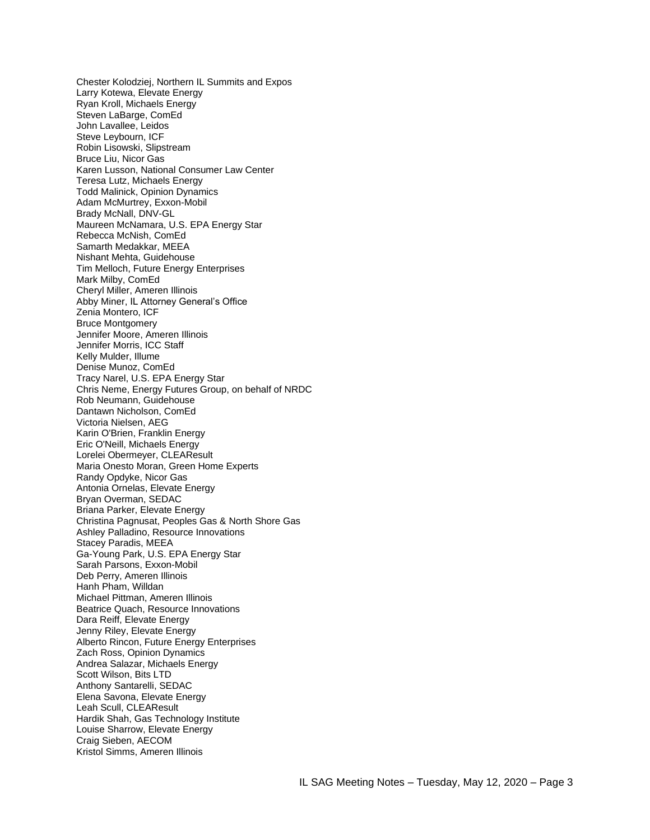Chester Kolodziej, Northern IL Summits and Expos Larry Kotewa, Elevate Energy Ryan Kroll, Michaels Energy Steven LaBarge, ComEd John Lavallee, Leidos Steve Leybourn, ICF Robin Lisowski, Slipstream Bruce Liu, Nicor Gas Karen Lusson, National Consumer Law Center Teresa Lutz, Michaels Energy Todd Malinick, Opinion Dynamics Adam McMurtrey, Exxon-Mobil Brady McNall, DNV-GL Maureen McNamara, U.S. EPA Energy Star Rebecca McNish, ComEd Samarth Medakkar, MEEA Nishant Mehta, Guidehouse Tim Melloch, Future Energy Enterprises Mark Milby, ComEd Cheryl Miller, Ameren Illinois Abby Miner, IL Attorney General's Office Zenia Montero, ICF Bruce Montgomery Jennifer Moore, Ameren Illinois Jennifer Morris, ICC Staff Kelly Mulder, Illume Denise Munoz, ComEd Tracy Narel, U.S. EPA Energy Star Chris Neme, Energy Futures Group, on behalf of NRDC Rob Neumann, Guidehouse Dantawn Nicholson, ComEd Victoria Nielsen, AEG Karin O'Brien, Franklin Energy Eric O'Neill, Michaels Energy Lorelei Obermeyer, CLEAResult Maria Onesto Moran, Green Home Experts Randy Opdyke, Nicor Gas Antonia Ornelas, Elevate Energy Bryan Overman, SEDAC Briana Parker, Elevate Energy Christina Pagnusat, Peoples Gas & North Shore Gas Ashley Palladino, Resource Innovations Stacey Paradis, MEEA Ga-Young Park, U.S. EPA Energy Star Sarah Parsons, Exxon-Mobil Deb Perry, Ameren Illinois Hanh Pham, Willdan Michael Pittman, Ameren Illinois Beatrice Quach, Resource Innovations Dara Reiff, Elevate Energy Jenny Riley, Elevate Energy Alberto Rincon, Future Energy Enterprises Zach Ross, Opinion Dynamics Andrea Salazar, Michaels Energy Scott Wilson, Bits LTD Anthony Santarelli, SEDAC Elena Savona, Elevate Energy Leah Scull, CLEAResult Hardik Shah, Gas Technology Institute Louise Sharrow, Elevate Energy Craig Sieben, AECOM Kristol Simms, Ameren Illinois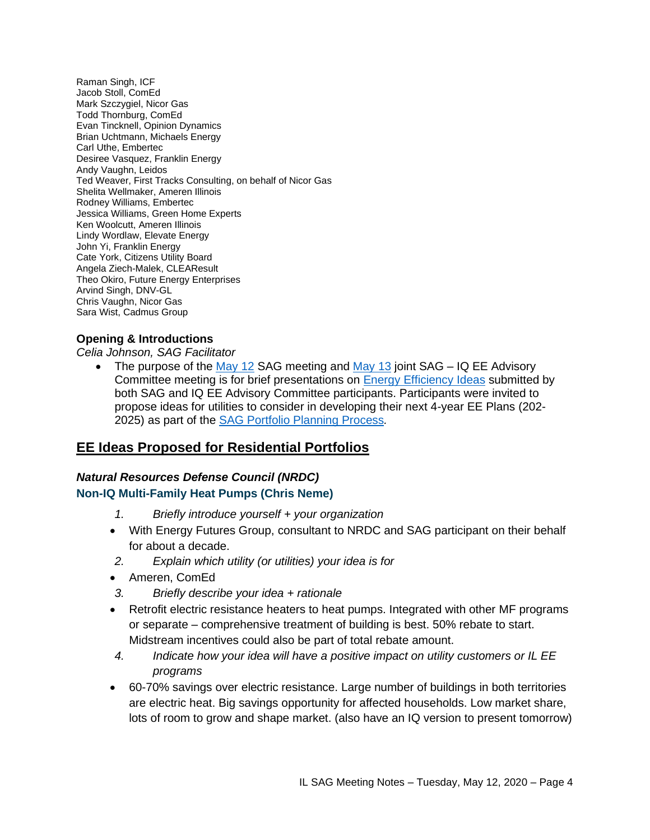Raman Singh, ICF Jacob Stoll, ComEd Mark Szczygiel, Nicor Gas Todd Thornburg, ComEd Evan Tincknell, Opinion Dynamics Brian Uchtmann, Michaels Energy Carl Uthe, Embertec Desiree Vasquez, Franklin Energy Andy Vaughn, Leidos Ted Weaver, First Tracks Consulting, on behalf of Nicor Gas Shelita Wellmaker, Ameren Illinois Rodney Williams, Embertec Jessica Williams, Green Home Experts Ken Woolcutt, Ameren Illinois Lindy Wordlaw, Elevate Energy John Yi, Franklin Energy Cate York, Citizens Utility Board Angela Ziech-Malek, CLEAResult Theo Okiro, Future Energy Enterprises Arvind Singh, DNV-GL Chris Vaughn, Nicor Gas Sara Wist, Cadmus Group

#### **Opening & Introductions**

*Celia Johnson, SAG Facilitator*

The purpose of the [May 12](https://www.ilsag.info/event/tuesday-may-12-sag-meeting/) SAG meeting and [May 13](https://www.ilsag.info/event/wednesday-may-13-sag-meeting/) joint SAG – IQ EE Advisory Committee meeting is for brief presentations on **[Energy Efficiency Ideas](https://www.ilsag.info/2020-energy-efficiency-ideas/)** submitted by both SAG and IQ EE Advisory Committee participants. Participants were invited to propose ideas for utilities to consider in developing their next 4-year EE Plans (202- 2025) as part of the [SAG Portfolio Planning Process](https://www.ilsag.info/meetings/portfolio-planning-process/)*.* 

# **EE Ideas Proposed for Residential Portfolios**

### *Natural Resources Defense Council (NRDC)* **Non-IQ Multi-Family Heat Pumps (Chris Neme)**

- *1. Briefly introduce yourself + your organization*
- With Energy Futures Group, consultant to NRDC and SAG participant on their behalf for about a decade.
- *2. Explain which utility (or utilities) your idea is for*
- Ameren, ComEd
- *3. Briefly describe your idea + rationale*
- Retrofit electric resistance heaters to heat pumps. Integrated with other MF programs or separate – comprehensive treatment of building is best. 50% rebate to start. Midstream incentives could also be part of total rebate amount.
- *4. Indicate how your idea will have a positive impact on utility customers or IL EE programs*
- 60-70% savings over electric resistance. Large number of buildings in both territories are electric heat. Big savings opportunity for affected households. Low market share, lots of room to grow and shape market. (also have an IQ version to present tomorrow)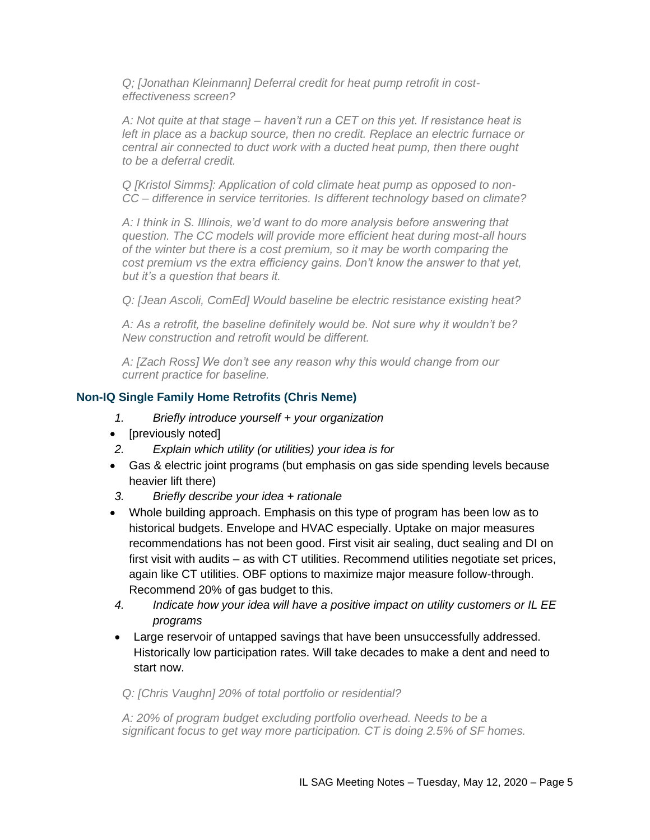*Q; [Jonathan Kleinmann] Deferral credit for heat pump retrofit in costeffectiveness screen?*

*A: Not quite at that stage – haven't run a CET on this yet. If resistance heat is left in place as a backup source, then no credit. Replace an electric furnace or central air connected to duct work with a ducted heat pump, then there ought to be a deferral credit.*

*Q [Kristol Simms]: Application of cold climate heat pump as opposed to non-CC – difference in service territories. Is different technology based on climate?*

*A: I think in S. Illinois, we'd want to do more analysis before answering that question. The CC models will provide more efficient heat during most-all hours of the winter but there is a cost premium, so it may be worth comparing the cost premium vs the extra efficiency gains. Don't know the answer to that yet, but it's a question that bears it.*

*Q: [Jean Ascoli, ComEd] Would baseline be electric resistance existing heat?*

*A: As a retrofit, the baseline definitely would be. Not sure why it wouldn't be? New construction and retrofit would be different.* 

*A: [Zach Ross] We don't see any reason why this would change from our current practice for baseline.*

#### **Non-IQ Single Family Home Retrofits (Chris Neme)**

- *1. Briefly introduce yourself + your organization*
- [previously noted]
- *2. Explain which utility (or utilities) your idea is for*
- Gas & electric joint programs (but emphasis on gas side spending levels because heavier lift there)
- *3. Briefly describe your idea + rationale*
- Whole building approach. Emphasis on this type of program has been low as to historical budgets. Envelope and HVAC especially. Uptake on major measures recommendations has not been good. First visit air sealing, duct sealing and DI on first visit with audits – as with CT utilities. Recommend utilities negotiate set prices, again like CT utilities. OBF options to maximize major measure follow-through. Recommend 20% of gas budget to this.
- *4. Indicate how your idea will have a positive impact on utility customers or IL EE programs*
- Large reservoir of untapped savings that have been unsuccessfully addressed. Historically low participation rates. Will take decades to make a dent and need to start now.

#### *Q: [Chris Vaughn] 20% of total portfolio or residential?*

*A: 20% of program budget excluding portfolio overhead. Needs to be a significant focus to get way more participation. CT is doing 2.5% of SF homes.*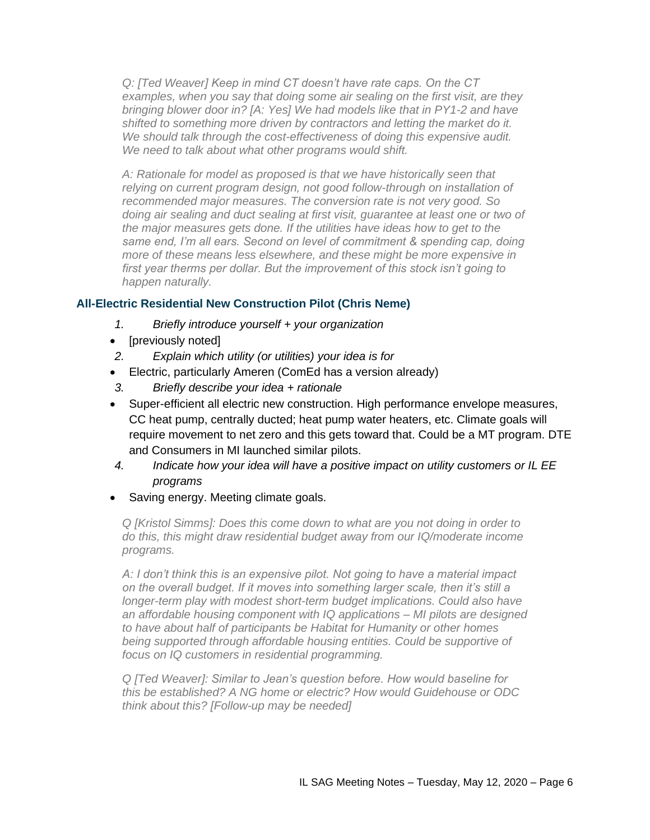*Q: [Ted Weaver] Keep in mind CT doesn't have rate caps. On the CT examples, when you say that doing some air sealing on the first visit, are they bringing blower door in? [A: Yes] We had models like that in PY1-2 and have shifted to something more driven by contractors and letting the market do it. We should talk through the cost-effectiveness of doing this expensive audit. We need to talk about what other programs would shift.*

*A: Rationale for model as proposed is that we have historically seen that relying on current program design, not good follow-through on installation of recommended major measures. The conversion rate is not very good. So doing air sealing and duct sealing at first visit, guarantee at least one or two of the major measures gets done. If the utilities have ideas how to get to the same end, I'm all ears. Second on level of commitment & spending cap, doing more of these means less elsewhere, and these might be more expensive in first year therms per dollar. But the improvement of this stock isn't going to happen naturally.*

### **All-Electric Residential New Construction Pilot (Chris Neme)**

- *1. Briefly introduce yourself + your organization*
- [previously noted]
- *2. Explain which utility (or utilities) your idea is for*
- Electric, particularly Ameren (ComEd has a version already)
- *3. Briefly describe your idea + rationale*
- Super-efficient all electric new construction. High performance envelope measures, CC heat pump, centrally ducted; heat pump water heaters, etc. Climate goals will require movement to net zero and this gets toward that. Could be a MT program. DTE and Consumers in MI launched similar pilots.
- *4. Indicate how your idea will have a positive impact on utility customers or IL EE programs*
- Saving energy. Meeting climate goals.

*Q [Kristol Simms]: Does this come down to what are you not doing in order to do this, this might draw residential budget away from our IQ/moderate income programs.*

*A: I don't think this is an expensive pilot. Not going to have a material impact on the overall budget. If it moves into something larger scale, then it's still a longer-term play with modest short-term budget implications. Could also have an affordable housing component with IQ applications – MI pilots are designed to have about half of participants be Habitat for Humanity or other homes being supported through affordable housing entities. Could be supportive of focus on IQ customers in residential programming.*

*Q [Ted Weaver]: Similar to Jean's question before. How would baseline for this be established? A NG home or electric? How would Guidehouse or ODC think about this? [Follow-up may be needed]*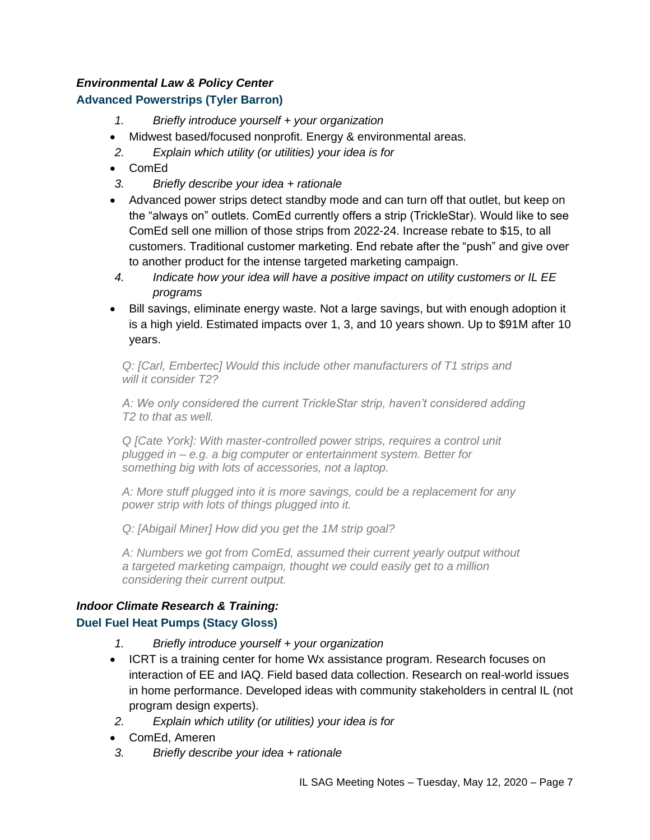# *Environmental Law & Policy Center*

# **Advanced Powerstrips (Tyler Barron)**

- *1. Briefly introduce yourself + your organization*
- Midwest based/focused nonprofit. Energy & environmental areas.
- *2. Explain which utility (or utilities) your idea is for*
- ComEd
- *3. Briefly describe your idea + rationale*
- Advanced power strips detect standby mode and can turn off that outlet, but keep on the "always on" outlets. ComEd currently offers a strip (TrickleStar). Would like to see ComEd sell one million of those strips from 2022-24. Increase rebate to \$15, to all customers. Traditional customer marketing. End rebate after the "push" and give over to another product for the intense targeted marketing campaign.
- *4. Indicate how your idea will have a positive impact on utility customers or IL EE programs*
- Bill savings, eliminate energy waste. Not a large savings, but with enough adoption it is a high yield. Estimated impacts over 1, 3, and 10 years shown. Up to \$91M after 10 years.

*Q: [Carl, Embertec] Would this include other manufacturers of T1 strips and will it consider T2?*

*A: We only considered the current TrickleStar strip, haven't considered adding T2 to that as well.*

*Q [Cate York]: With master-controlled power strips, requires a control unit plugged in – e.g. a big computer or entertainment system. Better for something big with lots of accessories, not a laptop.*

*A: More stuff plugged into it is more savings, could be a replacement for any power strip with lots of things plugged into it.* 

*Q: [Abigail Miner] How did you get the 1M strip goal?*

*A: Numbers we got from ComEd, assumed their current yearly output without a targeted marketing campaign, thought we could easily get to a million considering their current output.*

# *Indoor Climate Research & Training:* **Duel Fuel Heat Pumps (Stacy Gloss)**

- *1. Briefly introduce yourself + your organization*
- ICRT is a training center for home Wx assistance program. Research focuses on interaction of EE and IAQ. Field based data collection. Research on real-world issues in home performance. Developed ideas with community stakeholders in central IL (not program design experts).
- *2. Explain which utility (or utilities) your idea is for*
- ComEd, Ameren
- *3. Briefly describe your idea + rationale*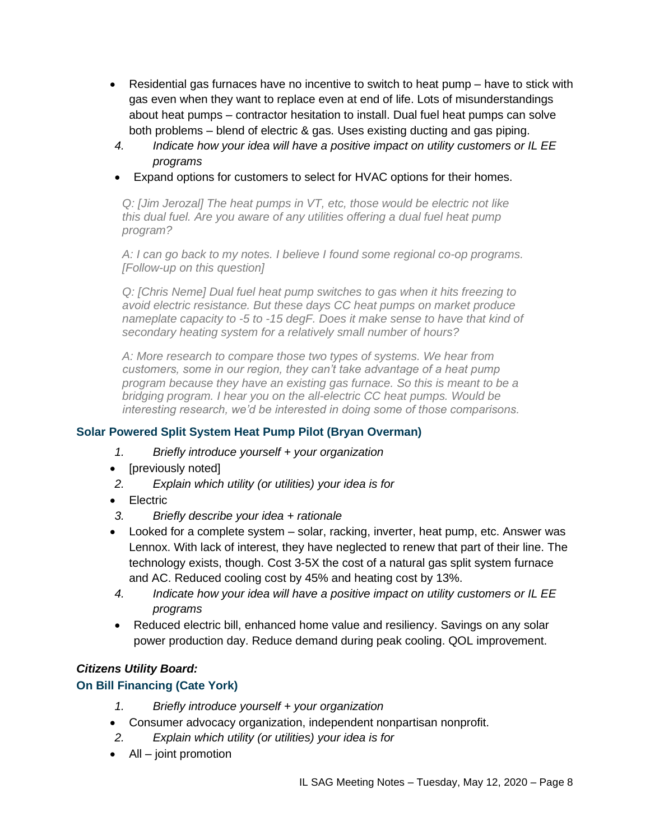- Residential gas furnaces have no incentive to switch to heat pump have to stick with gas even when they want to replace even at end of life. Lots of misunderstandings about heat pumps – contractor hesitation to install. Dual fuel heat pumps can solve both problems – blend of electric & gas. Uses existing ducting and gas piping.
- *4. Indicate how your idea will have a positive impact on utility customers or IL EE programs*
- Expand options for customers to select for HVAC options for their homes.

*Q: [Jim Jerozal] The heat pumps in VT, etc, those would be electric not like this dual fuel. Are you aware of any utilities offering a dual fuel heat pump program?*

*A: I can go back to my notes. I believe I found some regional co-op programs. [Follow-up on this question]*

*Q: [Chris Neme] Dual fuel heat pump switches to gas when it hits freezing to avoid electric resistance. But these days CC heat pumps on market produce nameplate capacity to -5 to -15 degF. Does it make sense to have that kind of secondary heating system for a relatively small number of hours?*

*A: More research to compare those two types of systems. We hear from customers, some in our region, they can't take advantage of a heat pump program because they have an existing gas furnace. So this is meant to be a bridging program. I hear you on the all-electric CC heat pumps. Would be interesting research, we'd be interested in doing some of those comparisons.*

# **Solar Powered Split System Heat Pump Pilot (Bryan Overman)**

- *1. Briefly introduce yourself + your organization*
- [previously noted]
- *2. Explain which utility (or utilities) your idea is for*
- Electric
- *3. Briefly describe your idea + rationale*
- Looked for a complete system solar, racking, inverter, heat pump, etc. Answer was Lennox. With lack of interest, they have neglected to renew that part of their line. The technology exists, though. Cost 3-5X the cost of a natural gas split system furnace and AC. Reduced cooling cost by 45% and heating cost by 13%.
- *4. Indicate how your idea will have a positive impact on utility customers or IL EE programs*
- Reduced electric bill, enhanced home value and resiliency. Savings on any solar power production day. Reduce demand during peak cooling. QOL improvement.

# *Citizens Utility Board:*

# **On Bill Financing (Cate York)**

- *1. Briefly introduce yourself + your organization*
- Consumer advocacy organization, independent nonpartisan nonprofit.
- *2. Explain which utility (or utilities) your idea is for*
- All joint promotion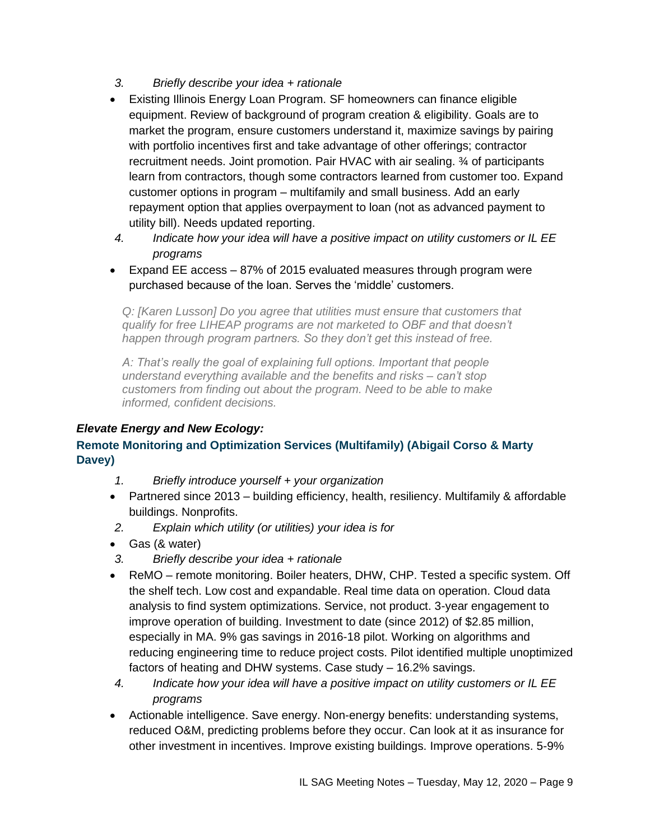- *3. Briefly describe your idea + rationale*
- Existing Illinois Energy Loan Program. SF homeowners can finance eligible equipment. Review of background of program creation & eligibility. Goals are to market the program, ensure customers understand it, maximize savings by pairing with portfolio incentives first and take advantage of other offerings; contractor recruitment needs. Joint promotion. Pair HVAC with air sealing. ¾ of participants learn from contractors, though some contractors learned from customer too. Expand customer options in program – multifamily and small business. Add an early repayment option that applies overpayment to loan (not as advanced payment to utility bill). Needs updated reporting.
- *4. Indicate how your idea will have a positive impact on utility customers or IL EE programs*
- Expand EE access 87% of 2015 evaluated measures through program were purchased because of the loan. Serves the 'middle' customers.

*Q: [Karen Lusson] Do you agree that utilities must ensure that customers that qualify for free LIHEAP programs are not marketed to OBF and that doesn't happen through program partners. So they don't get this instead of free.*

*A: That's really the goal of explaining full options. Important that people understand everything available and the benefits and risks – can't stop customers from finding out about the program. Need to be able to make informed, confident decisions.*

# *Elevate Energy and New Ecology:*

# **Remote Monitoring and Optimization Services (Multifamily) (Abigail Corso & Marty Davey)**

- *1. Briefly introduce yourself + your organization*
- Partnered since 2013 building efficiency, health, resiliency, Multifamily & affordable buildings. Nonprofits.
- *2. Explain which utility (or utilities) your idea is for*
- Gas (& water)
- *3. Briefly describe your idea + rationale*
- ReMO remote monitoring. Boiler heaters, DHW, CHP. Tested a specific system. Off the shelf tech. Low cost and expandable. Real time data on operation. Cloud data analysis to find system optimizations. Service, not product. 3-year engagement to improve operation of building. Investment to date (since 2012) of \$2.85 million, especially in MA. 9% gas savings in 2016-18 pilot. Working on algorithms and reducing engineering time to reduce project costs. Pilot identified multiple unoptimized factors of heating and DHW systems. Case study – 16.2% savings.
- *4. Indicate how your idea will have a positive impact on utility customers or IL EE programs*
- Actionable intelligence. Save energy. Non-energy benefits: understanding systems, reduced O&M, predicting problems before they occur. Can look at it as insurance for other investment in incentives. Improve existing buildings. Improve operations. 5-9%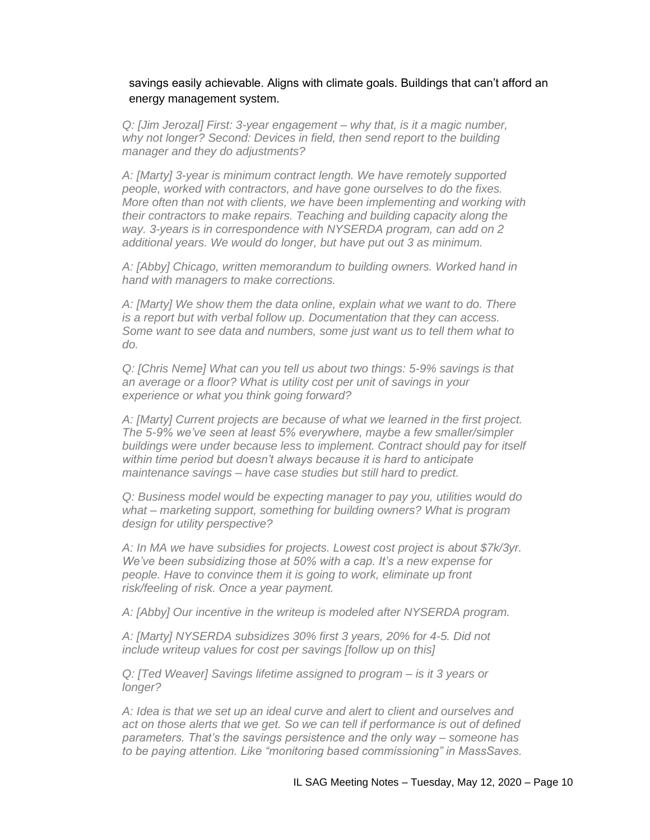#### savings easily achievable. Aligns with climate goals. Buildings that can't afford an energy management system.

*Q: [Jim Jerozal] First: 3-year engagement – why that, is it a magic number, why not longer? Second: Devices in field, then send report to the building manager and they do adjustments?*

*A: [Marty] 3-year is minimum contract length. We have remotely supported people, worked with contractors, and have gone ourselves to do the fixes. More often than not with clients, we have been implementing and working with their contractors to make repairs. Teaching and building capacity along the way. 3-years is in correspondence with NYSERDA program, can add on 2 additional years. We would do longer, but have put out 3 as minimum.* 

*A: [Abby] Chicago, written memorandum to building owners. Worked hand in hand with managers to make corrections.* 

*A: [Marty] We show them the data online, explain what we want to do. There is a report but with verbal follow up. Documentation that they can access. Some want to see data and numbers, some just want us to tell them what to do.* 

*Q: [Chris Neme] What can you tell us about two things: 5-9% savings is that an average or a floor? What is utility cost per unit of savings in your experience or what you think going forward?*

*A: [Marty] Current projects are because of what we learned in the first project. The 5-9% we've seen at least 5% everywhere, maybe a few smaller/simpler buildings were under because less to implement. Contract should pay for itself within time period but doesn't always because it is hard to anticipate maintenance savings – have case studies but still hard to predict.* 

*Q: Business model would be expecting manager to pay you, utilities would do what – marketing support, something for building owners? What is program design for utility perspective?*

*A: In MA we have subsidies for projects. Lowest cost project is about \$7k/3yr. We've been subsidizing those at 50% with a cap. It's a new expense for people. Have to convince them it is going to work, eliminate up front risk/feeling of risk. Once a year payment.* 

*A: [Abby] Our incentive in the writeup is modeled after NYSERDA program.*

*A: [Marty] NYSERDA subsidizes 30% first 3 years, 20% for 4-5. Did not include writeup values for cost per savings [follow up on this]*

*Q: [Ted Weaver] Savings lifetime assigned to program – is it 3 years or longer?*

*A: Idea is that we set up an ideal curve and alert to client and ourselves and act on those alerts that we get. So we can tell if performance is out of defined parameters. That's the savings persistence and the only way – someone has to be paying attention. Like "monitoring based commissioning" in MassSaves.*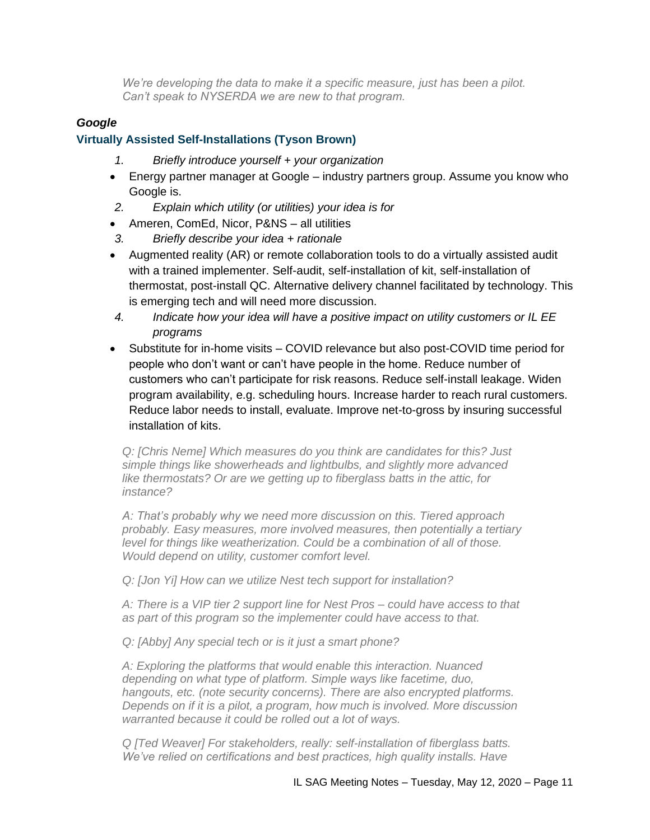*We're developing the data to make it a specific measure, just has been a pilot. Can't speak to NYSERDA we are new to that program.* 

#### *Google*

#### **Virtually Assisted Self-Installations (Tyson Brown)**

- *1. Briefly introduce yourself + your organization*
- Energy partner manager at Google industry partners group. Assume you know who Google is.
- *2. Explain which utility (or utilities) your idea is for*
- Ameren, ComEd, Nicor, P&NS all utilities
- *3. Briefly describe your idea + rationale*
- Augmented reality (AR) or remote collaboration tools to do a virtually assisted audit with a trained implementer. Self-audit, self-installation of kit, self-installation of thermostat, post-install QC. Alternative delivery channel facilitated by technology. This is emerging tech and will need more discussion.
- *4. Indicate how your idea will have a positive impact on utility customers or IL EE programs*
- Substitute for in-home visits COVID relevance but also post-COVID time period for people who don't want or can't have people in the home. Reduce number of customers who can't participate for risk reasons. Reduce self-install leakage. Widen program availability, e.g. scheduling hours. Increase harder to reach rural customers. Reduce labor needs to install, evaluate. Improve net-to-gross by insuring successful installation of kits.

*Q: [Chris Neme] Which measures do you think are candidates for this? Just simple things like showerheads and lightbulbs, and slightly more advanced like thermostats? Or are we getting up to fiberglass batts in the attic, for instance?*

*A: That's probably why we need more discussion on this. Tiered approach probably. Easy measures, more involved measures, then potentially a tertiary level for things like weatherization. Could be a combination of all of those. Would depend on utility, customer comfort level.*

*Q: [Jon Yi] How can we utilize Nest tech support for installation?*

*A: There is a VIP tier 2 support line for Nest Pros – could have access to that as part of this program so the implementer could have access to that.*

*Q: [Abby] Any special tech or is it just a smart phone?*

*A: Exploring the platforms that would enable this interaction. Nuanced depending on what type of platform. Simple ways like facetime, duo, hangouts, etc. (note security concerns). There are also encrypted platforms. Depends on if it is a pilot, a program, how much is involved. More discussion warranted because it could be rolled out a lot of ways.*

*Q [Ted Weaver] For stakeholders, really: self-installation of fiberglass batts. We've relied on certifications and best practices, high quality installs. Have*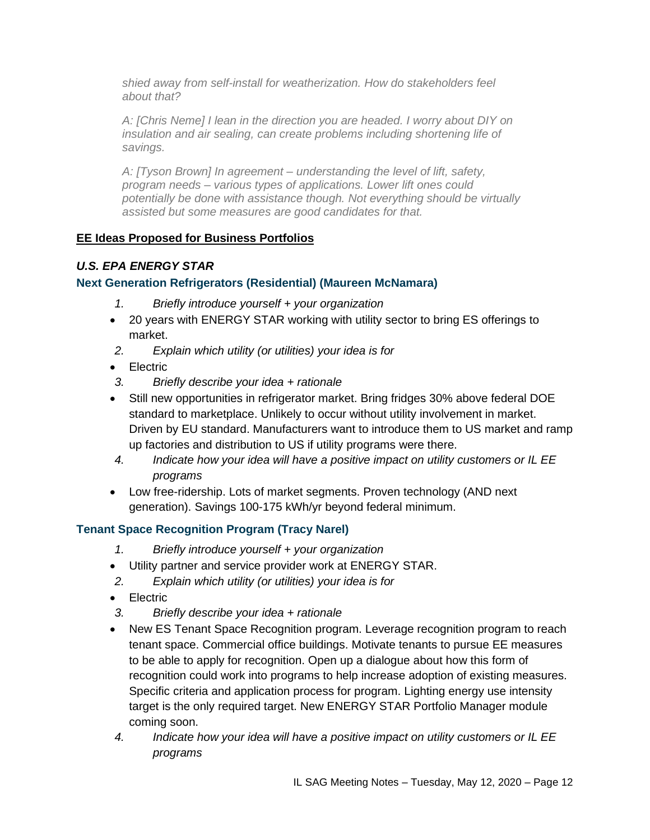*shied away from self-install for weatherization. How do stakeholders feel about that?*

*A: [Chris Neme] I lean in the direction you are headed. I worry about DIY on insulation and air sealing, can create problems including shortening life of savings.* 

*A: [Tyson Brown] In agreement – understanding the level of lift, safety, program needs – various types of applications. Lower lift ones could potentially be done with assistance though. Not everything should be virtually assisted but some measures are good candidates for that.* 

#### **EE Ideas Proposed for Business Portfolios**

#### *U.S. EPA ENERGY STAR*

#### **Next Generation Refrigerators (Residential) (Maureen McNamara)**

- *1. Briefly introduce yourself + your organization*
- 20 years with ENERGY STAR working with utility sector to bring ES offerings to market.
- *2. Explain which utility (or utilities) your idea is for*
- **Electric**
- *3. Briefly describe your idea + rationale*
- Still new opportunities in refrigerator market. Bring fridges 30% above federal DOE standard to marketplace. Unlikely to occur without utility involvement in market. Driven by EU standard. Manufacturers want to introduce them to US market and ramp up factories and distribution to US if utility programs were there.
- *4. Indicate how your idea will have a positive impact on utility customers or IL EE programs*
- Low free-ridership. Lots of market segments. Proven technology (AND next generation). Savings 100-175 kWh/yr beyond federal minimum.

### **Tenant Space Recognition Program (Tracy Narel)**

- *1. Briefly introduce yourself + your organization*
- Utility partner and service provider work at ENERGY STAR.
- *2. Explain which utility (or utilities) your idea is for*
- Electric
- *3. Briefly describe your idea + rationale*
- New ES Tenant Space Recognition program. Leverage recognition program to reach tenant space. Commercial office buildings. Motivate tenants to pursue EE measures to be able to apply for recognition. Open up a dialogue about how this form of recognition could work into programs to help increase adoption of existing measures. Specific criteria and application process for program. Lighting energy use intensity target is the only required target. New ENERGY STAR Portfolio Manager module coming soon.
- *4. Indicate how your idea will have a positive impact on utility customers or IL EE programs*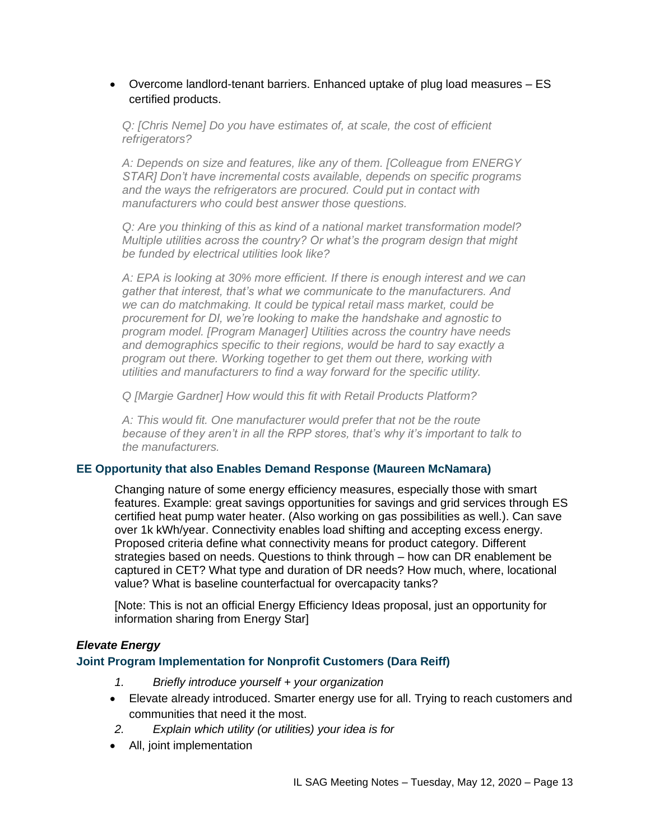#### • Overcome landlord-tenant barriers. Enhanced uptake of plug load measures – ES certified products.

*Q: [Chris Neme] Do you have estimates of, at scale, the cost of efficient refrigerators?*

*A: Depends on size and features, like any of them. [Colleague from ENERGY STAR] Don't have incremental costs available, depends on specific programs and the ways the refrigerators are procured. Could put in contact with manufacturers who could best answer those questions.*

*Q: Are you thinking of this as kind of a national market transformation model? Multiple utilities across the country? Or what's the program design that might be funded by electrical utilities look like?*

*A: EPA is looking at 30% more efficient. If there is enough interest and we can gather that interest, that's what we communicate to the manufacturers. And we can do matchmaking. It could be typical retail mass market, could be procurement for DI, we're looking to make the handshake and agnostic to program model. [Program Manager] Utilities across the country have needs and demographics specific to their regions, would be hard to say exactly a program out there. Working together to get them out there, working with utilities and manufacturers to find a way forward for the specific utility.*

*Q [Margie Gardner] How would this fit with Retail Products Platform?*

*A: This would fit. One manufacturer would prefer that not be the route because of they aren't in all the RPP stores, that's why it's important to talk to the manufacturers.*

#### **EE Opportunity that also Enables Demand Response (Maureen McNamara)**

Changing nature of some energy efficiency measures, especially those with smart features. Example: great savings opportunities for savings and grid services through ES certified heat pump water heater. (Also working on gas possibilities as well.). Can save over 1k kWh/year. Connectivity enables load shifting and accepting excess energy. Proposed criteria define what connectivity means for product category. Different strategies based on needs. Questions to think through – how can DR enablement be captured in CET? What type and duration of DR needs? How much, where, locational value? What is baseline counterfactual for overcapacity tanks?

[Note: This is not an official Energy Efficiency Ideas proposal, just an opportunity for information sharing from Energy Star]

#### *Elevate Energy*

#### **Joint Program Implementation for Nonprofit Customers (Dara Reiff)**

- *1. Briefly introduce yourself + your organization*
- Elevate already introduced. Smarter energy use for all. Trying to reach customers and communities that need it the most.
- *2. Explain which utility (or utilities) your idea is for*
- All, joint implementation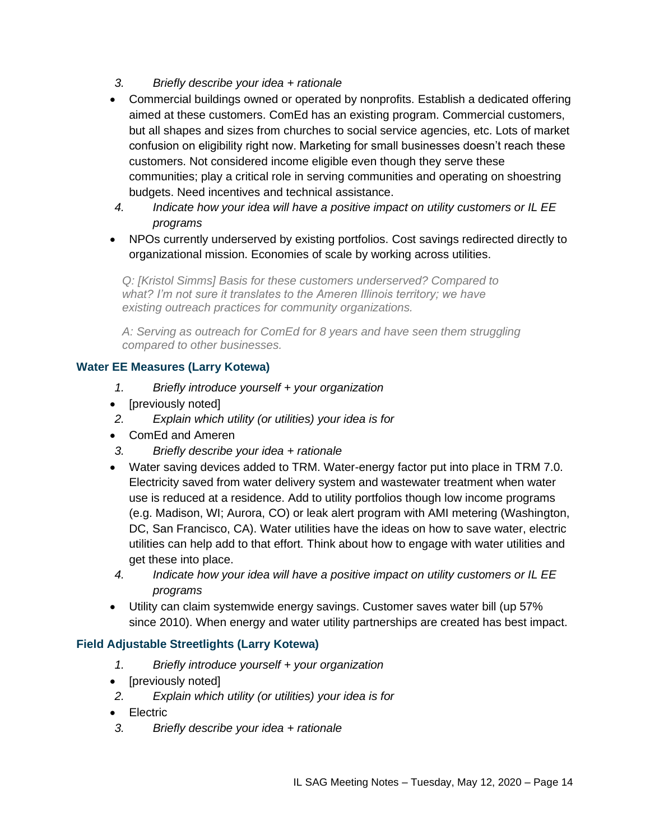- *3. Briefly describe your idea + rationale*
- Commercial buildings owned or operated by nonprofits. Establish a dedicated offering aimed at these customers. ComEd has an existing program. Commercial customers, but all shapes and sizes from churches to social service agencies, etc. Lots of market confusion on eligibility right now. Marketing for small businesses doesn't reach these customers. Not considered income eligible even though they serve these communities; play a critical role in serving communities and operating on shoestring budgets. Need incentives and technical assistance.
- *4. Indicate how your idea will have a positive impact on utility customers or IL EE programs*
- NPOs currently underserved by existing portfolios. Cost savings redirected directly to organizational mission. Economies of scale by working across utilities.

*Q: [Kristol Simms] Basis for these customers underserved? Compared to what? I'm not sure it translates to the Ameren Illinois territory; we have existing outreach practices for community organizations.*

*A: Serving as outreach for ComEd for 8 years and have seen them struggling compared to other businesses.* 

### **Water EE Measures (Larry Kotewa)**

- *1. Briefly introduce yourself + your organization*
- [previously noted]
- *2. Explain which utility (or utilities) your idea is for*
- ComEd and Ameren
- *3. Briefly describe your idea + rationale*
- Water saving devices added to TRM. Water-energy factor put into place in TRM 7.0. Electricity saved from water delivery system and wastewater treatment when water use is reduced at a residence. Add to utility portfolios though low income programs (e.g. Madison, WI; Aurora, CO) or leak alert program with AMI metering (Washington, DC, San Francisco, CA). Water utilities have the ideas on how to save water, electric utilities can help add to that effort. Think about how to engage with water utilities and get these into place.
- *4. Indicate how your idea will have a positive impact on utility customers or IL EE programs*
- Utility can claim systemwide energy savings. Customer saves water bill (up 57% since 2010). When energy and water utility partnerships are created has best impact.

### **Field Adjustable Streetlights (Larry Kotewa)**

- *1. Briefly introduce yourself + your organization*
- [previously noted]
- *2. Explain which utility (or utilities) your idea is for*
- Electric
- *3. Briefly describe your idea + rationale*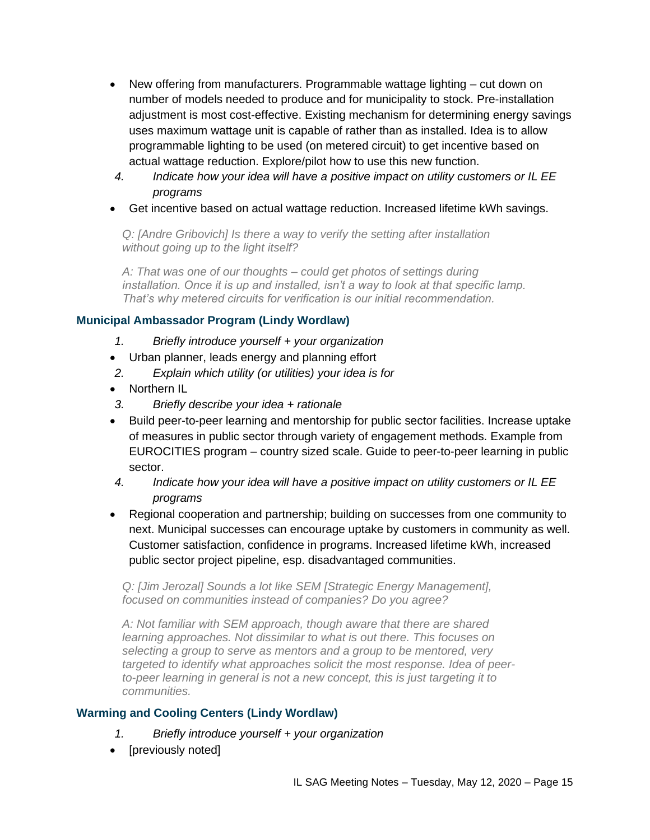- New offering from manufacturers. Programmable wattage lighting cut down on number of models needed to produce and for municipality to stock. Pre-installation adjustment is most cost-effective. Existing mechanism for determining energy savings uses maximum wattage unit is capable of rather than as installed. Idea is to allow programmable lighting to be used (on metered circuit) to get incentive based on actual wattage reduction. Explore/pilot how to use this new function.
- *4. Indicate how your idea will have a positive impact on utility customers or IL EE programs*
- Get incentive based on actual wattage reduction. Increased lifetime kWh savings.

*Q: [Andre Gribovich] Is there a way to verify the setting after installation without going up to the light itself?*

*A: That was one of our thoughts – could get photos of settings during installation. Once it is up and installed, isn't a way to look at that specific lamp. That's why metered circuits for verification is our initial recommendation.*

# **Municipal Ambassador Program (Lindy Wordlaw)**

- *1. Briefly introduce yourself + your organization*
- Urban planner, leads energy and planning effort
- *2. Explain which utility (or utilities) your idea is for*
- Northern IL
- *3. Briefly describe your idea + rationale*
- Build peer-to-peer learning and mentorship for public sector facilities. Increase uptake of measures in public sector through variety of engagement methods. Example from EUROCITIES program – country sized scale. Guide to peer-to-peer learning in public sector.
- *4. Indicate how your idea will have a positive impact on utility customers or IL EE programs*
- Regional cooperation and partnership; building on successes from one community to next. Municipal successes can encourage uptake by customers in community as well. Customer satisfaction, confidence in programs. Increased lifetime kWh, increased public sector project pipeline, esp. disadvantaged communities.

*Q: [Jim Jerozal] Sounds a lot like SEM [Strategic Energy Management], focused on communities instead of companies? Do you agree?*

*A: Not familiar with SEM approach, though aware that there are shared learning approaches. Not dissimilar to what is out there. This focuses on selecting a group to serve as mentors and a group to be mentored, very targeted to identify what approaches solicit the most response. Idea of peerto-peer learning in general is not a new concept, this is just targeting it to communities.*

### **Warming and Cooling Centers (Lindy Wordlaw)**

- *1. Briefly introduce yourself + your organization*
- [previously noted]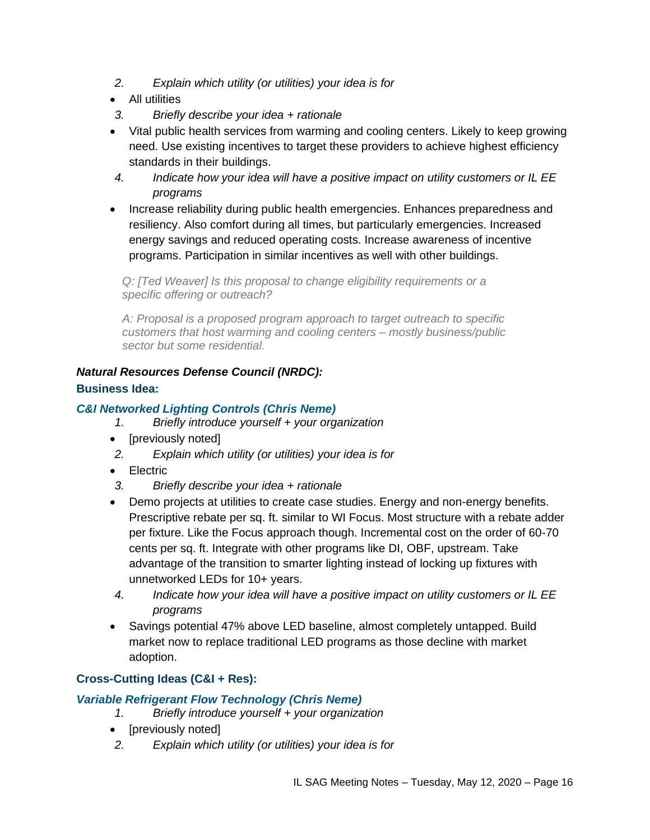- *2. Explain which utility (or utilities) your idea is for*
- All utilities
- *3. Briefly describe your idea + rationale*
- Vital public health services from warming and cooling centers. Likely to keep growing need. Use existing incentives to target these providers to achieve highest efficiency standards in their buildings.
- *4. Indicate how your idea will have a positive impact on utility customers or IL EE programs*
- Increase reliability during public health emergencies. Enhances preparedness and resiliency. Also comfort during all times, but particularly emergencies. Increased energy savings and reduced operating costs. Increase awareness of incentive programs. Participation in similar incentives as well with other buildings.

*Q: [Ted Weaver] Is this proposal to change eligibility requirements or a specific offering or outreach?*

*A: Proposal is a proposed program approach to target outreach to specific customers that host warming and cooling centers – mostly business/public sector but some residential.*

# *Natural Resources Defense Council (NRDC):*

### **Business Idea:**

### *C&I Networked Lighting Controls (Chris Neme)*

- *1. Briefly introduce yourself + your organization*
- [previously noted]
- *2. Explain which utility (or utilities) your idea is for*
- Electric
- *3. Briefly describe your idea + rationale*
- Demo projects at utilities to create case studies. Energy and non-energy benefits. Prescriptive rebate per sq. ft. similar to WI Focus. Most structure with a rebate adder per fixture. Like the Focus approach though. Incremental cost on the order of 60-70 cents per sq. ft. Integrate with other programs like DI, OBF, upstream. Take advantage of the transition to smarter lighting instead of locking up fixtures with unnetworked LEDs for 10+ years.
- *4. Indicate how your idea will have a positive impact on utility customers or IL EE programs*
- Savings potential 47% above LED baseline, almost completely untapped. Build market now to replace traditional LED programs as those decline with market adoption.

#### **Cross-Cutting Ideas (C&I + Res):**

#### *Variable Refrigerant Flow Technology (Chris Neme)*

- *1. Briefly introduce yourself + your organization*
- [previously noted]
- *2. Explain which utility (or utilities) your idea is for*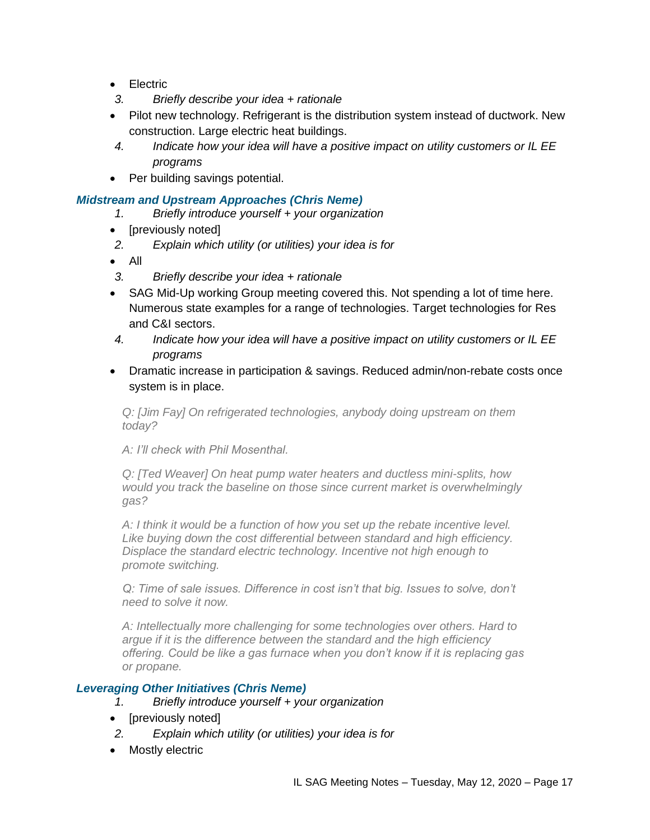- Electric
- *3. Briefly describe your idea + rationale*
- Pilot new technology. Refrigerant is the distribution system instead of ductwork. New construction. Large electric heat buildings.
- *4. Indicate how your idea will have a positive impact on utility customers or IL EE programs*
- Per building savings potential.

### *Midstream and Upstream Approaches (Chris Neme)*

- *1. Briefly introduce yourself + your organization*
- [previously noted]
- *2. Explain which utility (or utilities) your idea is for*
- All
- *3. Briefly describe your idea + rationale*
- SAG Mid-Up working Group meeting covered this. Not spending a lot of time here. Numerous state examples for a range of technologies. Target technologies for Res and C&I sectors.
- *4. Indicate how your idea will have a positive impact on utility customers or IL EE programs*
- Dramatic increase in participation & savings. Reduced admin/non-rebate costs once system is in place.

*Q: [Jim Fay] On refrigerated technologies, anybody doing upstream on them today?*

*A: I'll check with Phil Mosenthal.*

*Q: [Ted Weaver] On heat pump water heaters and ductless mini-splits, how would you track the baseline on those since current market is overwhelmingly gas?*

*A: I think it would be a function of how you set up the rebate incentive level. Like buying down the cost differential between standard and high efficiency. Displace the standard electric technology. Incentive not high enough to promote switching.*

*Q: Time of sale issues. Difference in cost isn't that big. Issues to solve, don't need to solve it now.*

*A: Intellectually more challenging for some technologies over others. Hard to argue if it is the difference between the standard and the high efficiency offering. Could be like a gas furnace when you don't know if it is replacing gas or propane.* 

### *Leveraging Other Initiatives (Chris Neme)*

- *1. Briefly introduce yourself + your organization*
- [previously noted]
- *2. Explain which utility (or utilities) your idea is for*
- Mostly electric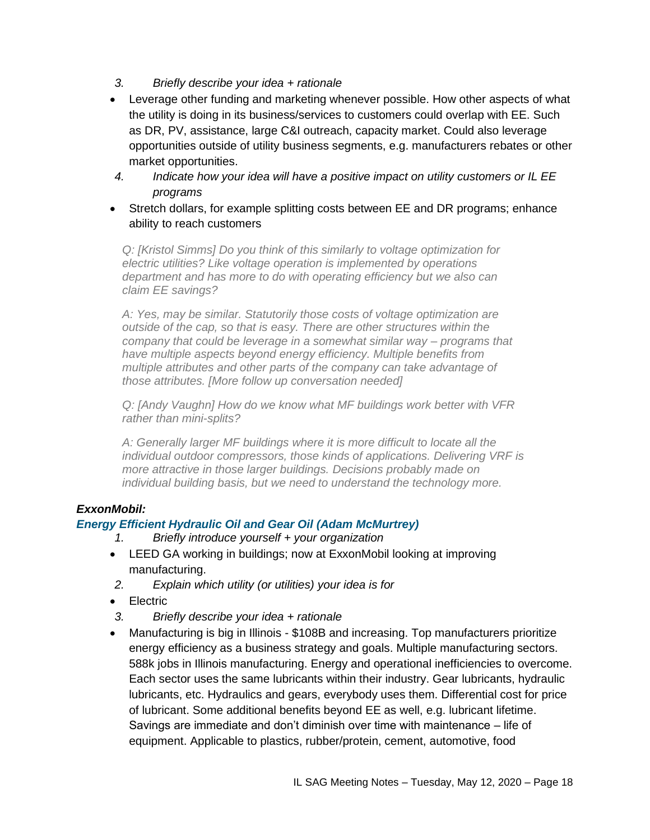- *3. Briefly describe your idea + rationale*
- Leverage other funding and marketing whenever possible. How other aspects of what the utility is doing in its business/services to customers could overlap with EE. Such as DR, PV, assistance, large C&I outreach, capacity market. Could also leverage opportunities outside of utility business segments, e.g. manufacturers rebates or other market opportunities.
- *4. Indicate how your idea will have a positive impact on utility customers or IL EE programs*
- Stretch dollars, for example splitting costs between EE and DR programs; enhance ability to reach customers

*Q: [Kristol Simms] Do you think of this similarly to voltage optimization for electric utilities? Like voltage operation is implemented by operations department and has more to do with operating efficiency but we also can claim EE savings?*

*A: Yes, may be similar. Statutorily those costs of voltage optimization are outside of the cap, so that is easy. There are other structures within the company that could be leverage in a somewhat similar way – programs that have multiple aspects beyond energy efficiency. Multiple benefits from multiple attributes and other parts of the company can take advantage of those attributes. [More follow up conversation needed]*

*Q: [Andy Vaughn] How do we know what MF buildings work better with VFR rather than mini-splits?*

*A: Generally larger MF buildings where it is more difficult to locate all the individual outdoor compressors, those kinds of applications. Delivering VRF is more attractive in those larger buildings. Decisions probably made on individual building basis, but we need to understand the technology more.*

### *ExxonMobil:*

#### *Energy Efficient Hydraulic Oil and Gear Oil (Adam McMurtrey)*

*1. Briefly introduce yourself + your organization*

- LEED GA working in buildings; now at ExxonMobil looking at improving manufacturing.
- *2. Explain which utility (or utilities) your idea is for*
- Electric
- *3. Briefly describe your idea + rationale*
- Manufacturing is big in Illinois \$108B and increasing. Top manufacturers prioritize energy efficiency as a business strategy and goals. Multiple manufacturing sectors. 588k jobs in Illinois manufacturing. Energy and operational inefficiencies to overcome. Each sector uses the same lubricants within their industry. Gear lubricants, hydraulic lubricants, etc. Hydraulics and gears, everybody uses them. Differential cost for price of lubricant. Some additional benefits beyond EE as well, e.g. lubricant lifetime. Savings are immediate and don't diminish over time with maintenance – life of equipment. Applicable to plastics, rubber/protein, cement, automotive, food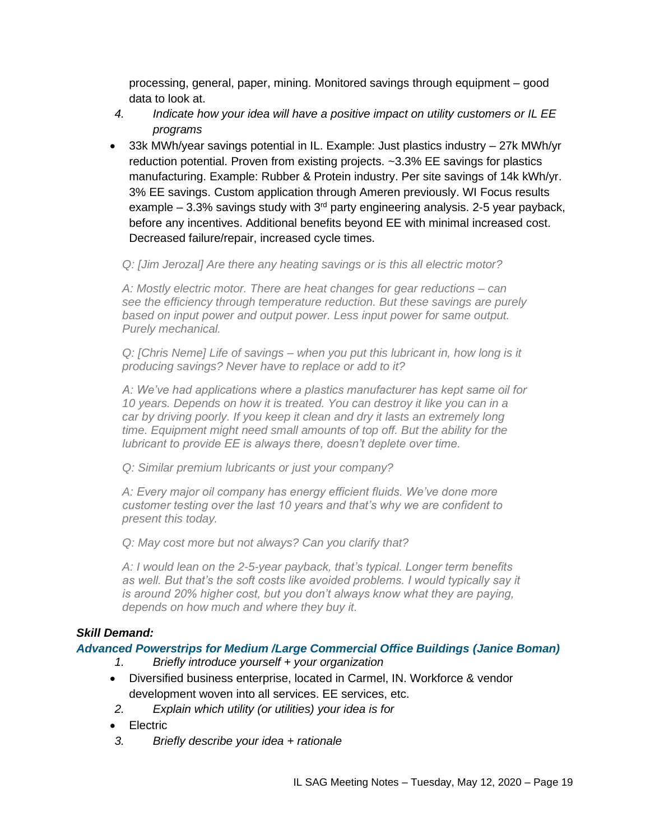processing, general, paper, mining. Monitored savings through equipment – good data to look at.

- *4. Indicate how your idea will have a positive impact on utility customers or IL EE programs*
- 33k MWh/year savings potential in IL. Example: Just plastics industry 27k MWh/yr reduction potential. Proven from existing projects. ~3.3% EE savings for plastics manufacturing. Example: Rubber & Protein industry. Per site savings of 14k kWh/yr. 3% EE savings. Custom application through Ameren previously. WI Focus results example  $-3.3\%$  savings study with  $3<sup>rd</sup>$  party engineering analysis. 2-5 year payback, before any incentives. Additional benefits beyond EE with minimal increased cost. Decreased failure/repair, increased cycle times.

#### *Q: [Jim Jerozal] Are there any heating savings or is this all electric motor?*

*A: Mostly electric motor. There are heat changes for gear reductions – can see the efficiency through temperature reduction. But these savings are purely based on input power and output power. Less input power for same output. Purely mechanical.*

*Q: [Chris Neme] Life of savings – when you put this lubricant in, how long is it producing savings? Never have to replace or add to it?*

*A: We've had applications where a plastics manufacturer has kept same oil for 10 years. Depends on how it is treated. You can destroy it like you can in a car by driving poorly. If you keep it clean and dry it lasts an extremely long time. Equipment might need small amounts of top off. But the ability for the lubricant to provide EE is always there, doesn't deplete over time.*

*Q: Similar premium lubricants or just your company?*

*A: Every major oil company has energy efficient fluids. We've done more customer testing over the last 10 years and that's why we are confident to present this today.*

*Q: May cost more but not always? Can you clarify that?*

*A: I would lean on the 2-5-year payback, that's typical. Longer term benefits as well. But that's the soft costs like avoided problems. I would typically say it is around 20% higher cost, but you don't always know what they are paying, depends on how much and where they buy it.* 

### *Skill Demand:*

#### *Advanced Powerstrips for Medium /Large Commercial Office Buildings (Janice Boman)*

- *1. Briefly introduce yourself + your organization*
- Diversified business enterprise, located in Carmel, IN. Workforce & vendor development woven into all services. EE services, etc.
- *2. Explain which utility (or utilities) your idea is for*
- Electric
- *3. Briefly describe your idea + rationale*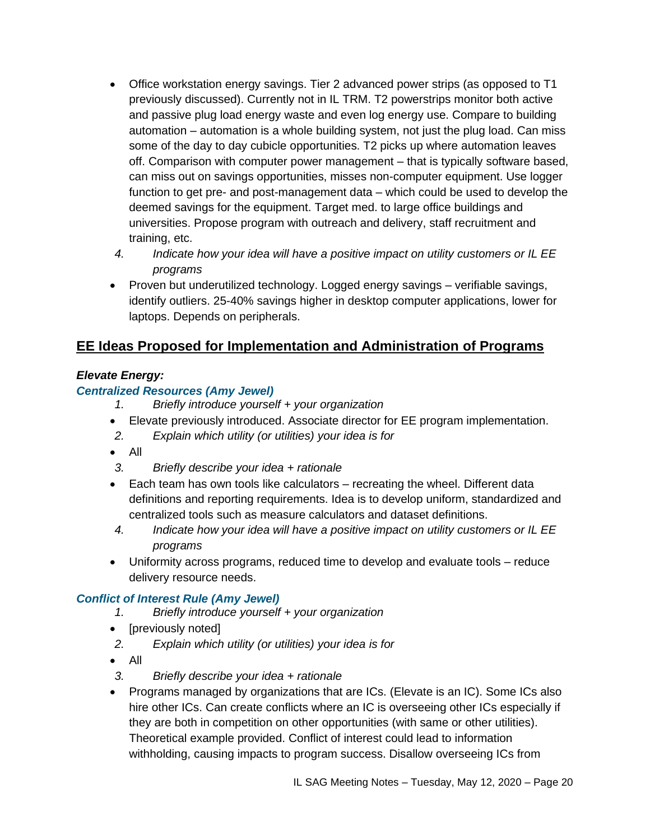- Office workstation energy savings. Tier 2 advanced power strips (as opposed to T1 previously discussed). Currently not in IL TRM. T2 powerstrips monitor both active and passive plug load energy waste and even log energy use. Compare to building automation – automation is a whole building system, not just the plug load. Can miss some of the day to day cubicle opportunities. T2 picks up where automation leaves off. Comparison with computer power management – that is typically software based, can miss out on savings opportunities, misses non-computer equipment. Use logger function to get pre- and post-management data – which could be used to develop the deemed savings for the equipment. Target med. to large office buildings and universities. Propose program with outreach and delivery, staff recruitment and training, etc.
- *4. Indicate how your idea will have a positive impact on utility customers or IL EE programs*
- Proven but underutilized technology. Logged energy savings verifiable savings, identify outliers. 25-40% savings higher in desktop computer applications, lower for laptops. Depends on peripherals.

# **EE Ideas Proposed for Implementation and Administration of Programs**

# *Elevate Energy:*

# *Centralized Resources (Amy Jewel)*

- *1. Briefly introduce yourself + your organization*
- Elevate previously introduced. Associate director for EE program implementation.
- *2. Explain which utility (or utilities) your idea is for*
- All
- *3. Briefly describe your idea + rationale*
- Each team has own tools like calculators recreating the wheel. Different data definitions and reporting requirements. Idea is to develop uniform, standardized and centralized tools such as measure calculators and dataset definitions.
- *4. Indicate how your idea will have a positive impact on utility customers or IL EE programs*
- Uniformity across programs, reduced time to develop and evaluate tools reduce delivery resource needs.

# *Conflict of Interest Rule (Amy Jewel)*

- *1. Briefly introduce yourself + your organization*
- [previously noted]
- *2. Explain which utility (or utilities) your idea is for*
- All
- *3. Briefly describe your idea + rationale*
- Programs managed by organizations that are ICs. (Elevate is an IC). Some ICs also hire other ICs. Can create conflicts where an IC is overseeing other ICs especially if they are both in competition on other opportunities (with same or other utilities). Theoretical example provided. Conflict of interest could lead to information withholding, causing impacts to program success. Disallow overseeing ICs from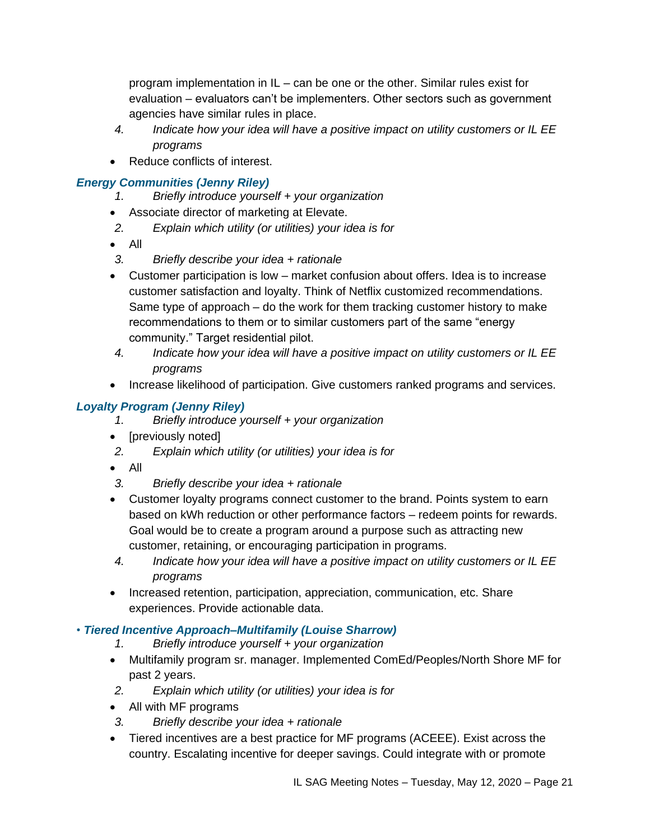program implementation in IL – can be one or the other. Similar rules exist for evaluation – evaluators can't be implementers. Other sectors such as government agencies have similar rules in place.

- *4. Indicate how your idea will have a positive impact on utility customers or IL EE programs*
- Reduce conflicts of interest.

### *Energy Communities (Jenny Riley)*

- *1. Briefly introduce yourself + your organization*
- Associate director of marketing at Elevate.
- *2. Explain which utility (or utilities) your idea is for*
- All
- *3. Briefly describe your idea + rationale*
- Customer participation is low market confusion about offers. Idea is to increase customer satisfaction and loyalty. Think of Netflix customized recommendations. Same type of approach – do the work for them tracking customer history to make recommendations to them or to similar customers part of the same "energy community." Target residential pilot.
- *4. Indicate how your idea will have a positive impact on utility customers or IL EE programs*
- Increase likelihood of participation. Give customers ranked programs and services.

# *Loyalty Program (Jenny Riley)*

- *1. Briefly introduce yourself + your organization*
- [previously noted]
- *2. Explain which utility (or utilities) your idea is for*
- All
- *3. Briefly describe your idea + rationale*
- Customer loyalty programs connect customer to the brand. Points system to earn based on kWh reduction or other performance factors – redeem points for rewards. Goal would be to create a program around a purpose such as attracting new customer, retaining, or encouraging participation in programs.
- *4. Indicate how your idea will have a positive impact on utility customers or IL EE programs*
- Increased retention, participation, appreciation, communication, etc. Share experiences. Provide actionable data.

### *• Tiered Incentive Approach–Multifamily (Louise Sharrow)*

- *1. Briefly introduce yourself + your organization*
- Multifamily program sr. manager. Implemented ComEd/Peoples/North Shore MF for past 2 years.
- *2. Explain which utility (or utilities) your idea is for*
- All with MF programs
- *3. Briefly describe your idea + rationale*
- Tiered incentives are a best practice for MF programs (ACEEE). Exist across the country. Escalating incentive for deeper savings. Could integrate with or promote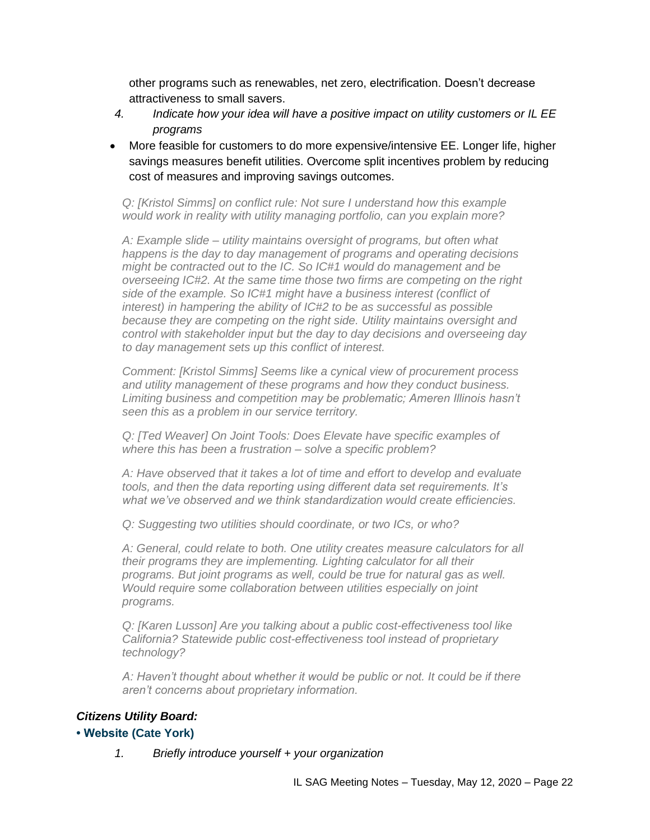other programs such as renewables, net zero, electrification. Doesn't decrease attractiveness to small savers.

- *4. Indicate how your idea will have a positive impact on utility customers or IL EE programs*
- More feasible for customers to do more expensive/intensive EE. Longer life, higher savings measures benefit utilities. Overcome split incentives problem by reducing cost of measures and improving savings outcomes.

*Q: [Kristol Simms] on conflict rule: Not sure I understand how this example would work in reality with utility managing portfolio, can you explain more?*

*A: Example slide – utility maintains oversight of programs, but often what happens is the day to day management of programs and operating decisions might be contracted out to the IC. So IC#1 would do management and be overseeing IC#2. At the same time those two firms are competing on the right side of the example. So IC#1 might have a business interest (conflict of interest) in hampering the ability of IC#2 to be as successful as possible because they are competing on the right side. Utility maintains oversight and control with stakeholder input but the day to day decisions and overseeing day to day management sets up this conflict of interest.* 

*Comment: [Kristol Simms] Seems like a cynical view of procurement process and utility management of these programs and how they conduct business. Limiting business and competition may be problematic; Ameren Illinois hasn't seen this as a problem in our service territory.*

*Q: [Ted Weaver] On Joint Tools: Does Elevate have specific examples of where this has been a frustration – solve a specific problem?*

*A: Have observed that it takes a lot of time and effort to develop and evaluate tools, and then the data reporting using different data set requirements. It's what we've observed and we think standardization would create efficiencies.*

*Q: Suggesting two utilities should coordinate, or two ICs, or who?*

*A: General, could relate to both. One utility creates measure calculators for all their programs they are implementing. Lighting calculator for all their programs. But joint programs as well, could be true for natural gas as well. Would require some collaboration between utilities especially on joint programs.*

*Q: [Karen Lusson] Are you talking about a public cost-effectiveness tool like California? Statewide public cost-effectiveness tool instead of proprietary technology?*

*A: Haven't thought about whether it would be public or not. It could be if there aren't concerns about proprietary information.*

#### *Citizens Utility Board:*

#### **• Website (Cate York)**

*1. Briefly introduce yourself + your organization*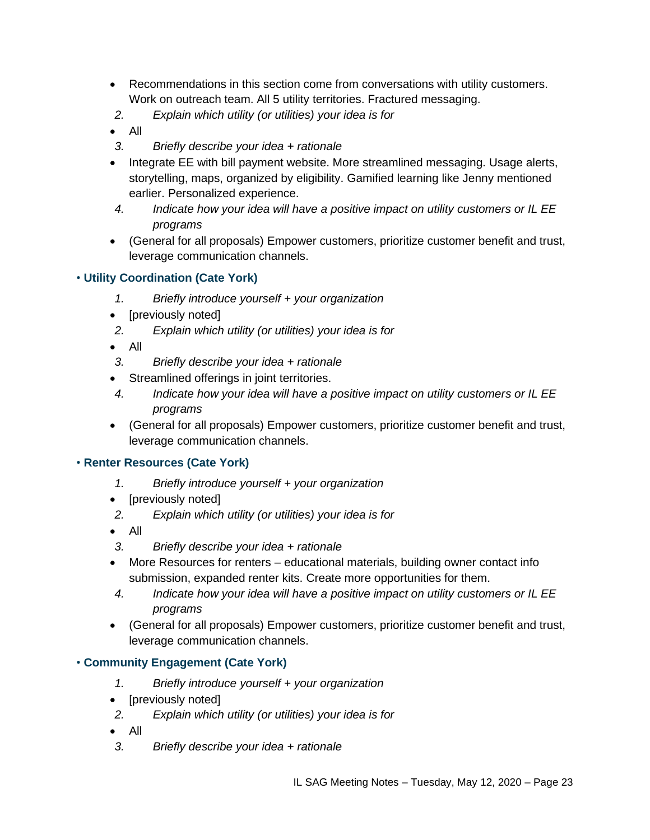- Recommendations in this section come from conversations with utility customers. Work on outreach team. All 5 utility territories. Fractured messaging.
- *2. Explain which utility (or utilities) your idea is for*
- All
- *3. Briefly describe your idea + rationale*
- Integrate EE with bill payment website. More streamlined messaging. Usage alerts, storytelling, maps, organized by eligibility. Gamified learning like Jenny mentioned earlier. Personalized experience.
- *4. Indicate how your idea will have a positive impact on utility customers or IL EE programs*
- (General for all proposals) Empower customers, prioritize customer benefit and trust, leverage communication channels.

### • **Utility Coordination (Cate York)**

- *1. Briefly introduce yourself + your organization*
- [previously noted]
- *2. Explain which utility (or utilities) your idea is for*
- All
- *3. Briefly describe your idea + rationale*
- Streamlined offerings in joint territories.
- *4. Indicate how your idea will have a positive impact on utility customers or IL EE programs*
- (General for all proposals) Empower customers, prioritize customer benefit and trust, leverage communication channels.

#### • **Renter Resources (Cate York)**

- *1. Briefly introduce yourself + your organization*
- [previously noted]
- *2. Explain which utility (or utilities) your idea is for*
- All
- *3. Briefly describe your idea + rationale*
- More Resources for renters educational materials, building owner contact info submission, expanded renter kits. Create more opportunities for them.
- *4. Indicate how your idea will have a positive impact on utility customers or IL EE programs*
- (General for all proposals) Empower customers, prioritize customer benefit and trust, leverage communication channels.

#### • **Community Engagement (Cate York)**

- *1. Briefly introduce yourself + your organization*
- [previously noted]
- *2. Explain which utility (or utilities) your idea is for*
- All
- *3. Briefly describe your idea + rationale*